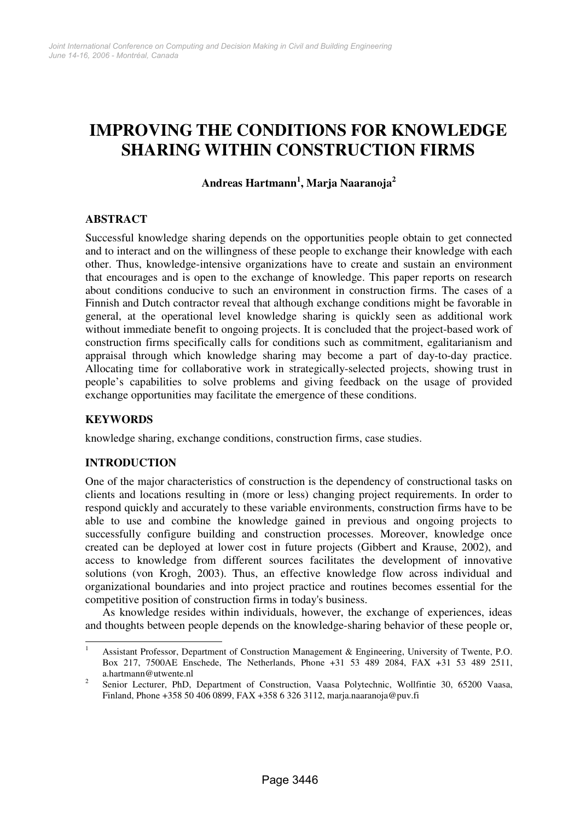# **IMPROVING THE CONDITIONS FOR KNOWLEDGE SHARING WITHIN CONSTRUCTION FIRMS**

# **Andreas Hartmann 1 , Marja Naaranoja 2**

## **ABSTRACT**

Successful knowledge sharing depends on the opportunities people obtain to get connected and to interact and on the willingness of these people to exchange their knowledge with each other. Thus, knowledge-intensive organizations have to create and sustain an environment that encourages and is open to the exchange of knowledge. This paper reports on research about conditions conducive to such an environment in construction firms. The cases of a Finnish and Dutch contractor reveal that although exchange conditions might be favorable in general, at the operational level knowledge sharing is quickly seen as additional work without immediate benefit to ongoing projects. It is concluded that the project-based work of construction firms specifically calls for conditions such as commitment, egalitarianism and appraisal through which knowledge sharing may become a part of day-to-day practice. Allocating time for collaborative work in strategically-selected projects, showing trust in people's capabilities to solve problems and giving feedback on the usage of provided exchange opportunities may facilitate the emergence of these conditions.

## **KEYWORDS**

knowledge sharing, exchange conditions, construction firms, case studies.

## **INTRODUCTION**

One of the major characteristics of construction is the dependency of constructional tasks on clients and locations resulting in (more or less) changing project requirements. In order to respond quickly and accurately to these variable environments, construction firms have to be able to use and combine the knowledge gained in previous and ongoing projects to successfully configure building and construction processes. Moreover, knowledge once created can be deployed at lower cost in future projects (Gibbert and Krause, 2002), and access to knowledge from different sources facilitates the development of innovative solutions (von Krogh, 2003). Thus, an effective knowledge flow across individual and organizational boundaries and into project practice and routines becomes essential for the competitive position of construction firms in today's business.

As knowledge resides within individuals, however, the exchange of experiences, ideas and thoughts between people depends on the knowledge-sharing behavior of these people or,

<sup>&</sup>lt;sup>1</sup> Assistant Professor, Department of Construction Management & Engineering, University of Twente, P.O. Box 217, 7500AE Enschede, The Netherlands, Phone +31 53 489 2084, FAX +31 53 489 2511, a.hartmann@utwente.nl

 $\mathfrak{D}$ Senior Lecturer, PhD, Department of Construction, Vaasa Polytechnic, Wollfintie 30, 65200 Vaasa, Finland, Phone +358 50 406 0899, FAX +358 6 326 3112, marja.naaranoja@puv.fi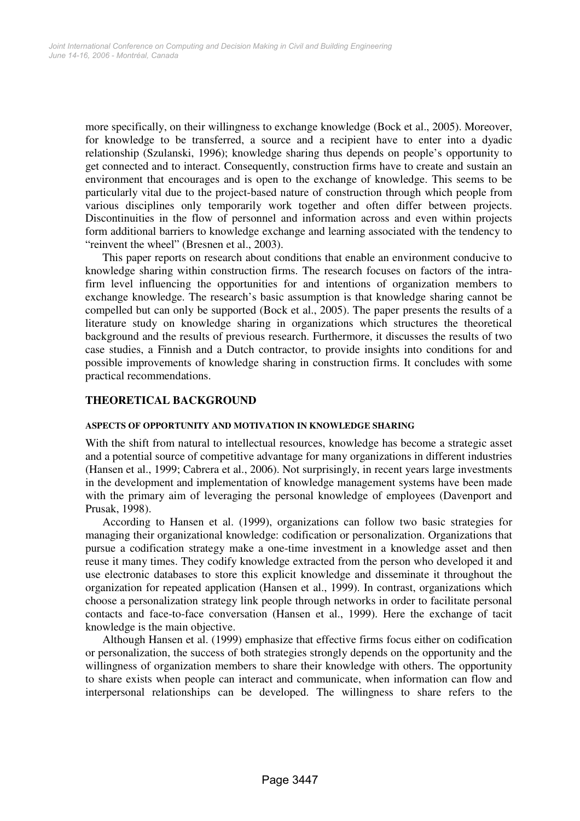more specifically, on their willingness to exchange knowledge (Bock et al., 2005). Moreover, for knowledge to be transferred, a source and a recipient have to enter into a dyadic relationship (Szulanski, 1996); knowledge sharing thus depends on people's opportunity to get connected and to interact. Consequently, construction firms have to create and sustain an environment that encourages and is open to the exchange of knowledge. This seems to be particularly vital due to the project-based nature of construction through which people from various disciplines only temporarily work together and often differ between projects. Discontinuities in the flow of personnel and information across and even within projects form additional barriers to knowledge exchange and learning associated with the tendency to "reinvent the wheel" (Bresnen et al., 2003).

This paper reports on research about conditions that enable an environment conducive to knowledge sharing within construction firms. The research focuses on factors of the intrafirm level influencing the opportunities for and intentions of organization members to exchange knowledge. The research's basic assumption is that knowledge sharing cannot be compelled but can only be supported (Bock et al., 2005). The paper presents the results of a literature study on knowledge sharing in organizations which structures the theoretical background and the results of previous research. Furthermore, it discusses the results of two case studies, a Finnish and a Dutch contractor, to provide insights into conditions for and possible improvements of knowledge sharing in construction firms. It concludes with some practical recommendations.

## **THEORETICAL BACKGROUND**

#### **ASPECTS OF OPPORTUNITY AND MOTIVATION IN KNOWLEDGE SHARING**

With the shift from natural to intellectual resources, knowledge has become a strategic asset and a potential source of competitive advantage for many organizations in different industries (Hansen et al., 1999; Cabrera et al., 2006). Not surprisingly, in recent years large investments in the development and implementation of knowledge management systems have been made with the primary aim of leveraging the personal knowledge of employees (Davenport and Prusak, 1998).

According to Hansen et al. (1999), organizations can follow two basic strategies for managing their organizational knowledge: codification or personalization. Organizations that pursue a codification strategy make a one-time investment in a knowledge asset and then reuse it many times. They codify knowledge extracted from the person who developed it and use electronic databases to store this explicit knowledge and disseminate it throughout the organization for repeated application (Hansen et al., 1999). In contrast, organizations which choose a personalization strategy link people through networks in order to facilitate personal contacts and face-to-face conversation (Hansen et al., 1999). Here the exchange of tacit knowledge is the main objective.

Although Hansen et al. (1999) emphasize that effective firms focus either on codification or personalization, the success of both strategies strongly depends on the opportunity and the willingness of organization members to share their knowledge with others. The opportunity to share exists when people can interact and communicate, when information can flow and interpersonal relationships can be developed. The willingness to share refers to the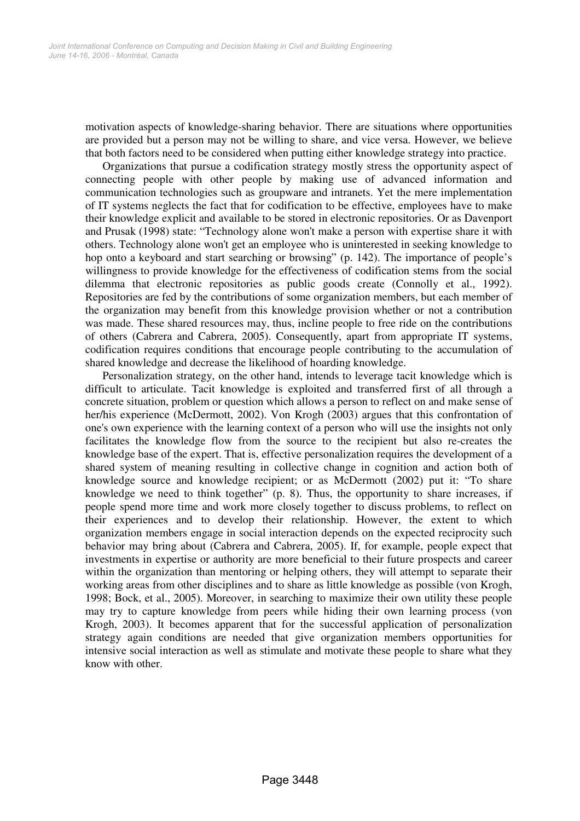motivation aspects of knowledge-sharing behavior. There are situations where opportunities are provided but a person may not be willing to share, and vice versa. However, we believe that both factors need to be considered when putting either knowledge strategy into practice.

Organizations that pursue a codification strategy mostly stress the opportunity aspect of connecting people with other people by making use of advanced information and communication technologies such as groupware and intranets. Yet the mere implementation of IT systems neglects the fact that for codification to be effective, employees have to make their knowledge explicit and available to be stored in electronic repositories. Or as Davenport and Prusak (1998) state: "Technology alone won't make a person with expertise share it with others. Technology alone won't get an employee who is uninterested in seeking knowledge to hop onto a keyboard and start searching or browsing" (p. 142). The importance of people's willingness to provide knowledge for the effectiveness of codification stems from the social dilemma that electronic repositories as public goods create (Connolly et al., 1992). Repositories are fed by the contributions of some organization members, but each member of the organization may benefit from this knowledge provision whether or not a contribution was made. These shared resources may, thus, incline people to free ride on the contributions of others (Cabrera and Cabrera, 2005). Consequently, apart from appropriate IT systems, codification requires conditions that encourage people contributing to the accumulation of shared knowledge and decrease the likelihood of hoarding knowledge.

Personalization strategy, on the other hand, intends to leverage tacit knowledge which is difficult to articulate. Tacit knowledge is exploited and transferred first of all through a concrete situation, problem or question which allows a person to reflect on and make sense of her/his experience (McDermott, 2002). Von Krogh (2003) argues that this confrontation of one's own experience with the learning context of a person who will use the insights not only facilitates the knowledge flow from the source to the recipient but also re-creates the knowledge base of the expert. That is, effective personalization requires the development of a shared system of meaning resulting in collective change in cognition and action both of knowledge source and knowledge recipient; or as McDermott (2002) put it: "To share knowledge we need to think together" (p. 8). Thus, the opportunity to share increases, if people spend more time and work more closely together to discuss problems, to reflect on their experiences and to develop their relationship. However, the extent to which organization members engage in social interaction depends on the expected reciprocity such behavior may bring about (Cabrera and Cabrera, 2005). If, for example, people expect that investments in expertise or authority are more beneficial to their future prospects and career within the organization than mentoring or helping others, they will attempt to separate their working areas from other disciplines and to share as little knowledge as possible (von Krogh, 1998; Bock, et al., 2005). Moreover, in searching to maximize their own utility these people may try to capture knowledge from peers while hiding their own learning process (von Krogh, 2003). It becomes apparent that for the successful application of personalization strategy again conditions are needed that give organization members opportunities for intensive social interaction as well as stimulate and motivate these people to share what they know with other.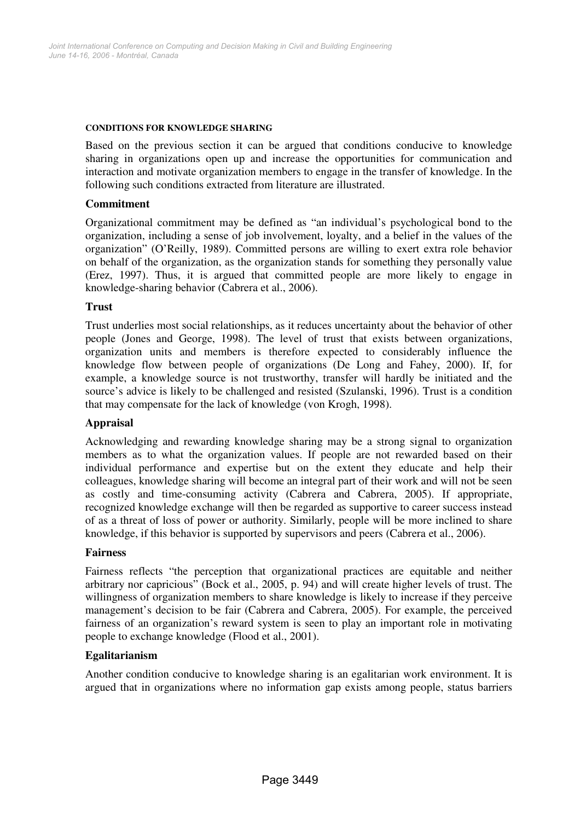#### **CONDITIONS FOR KNOWLEDGE SHARING**

Based on the previous section it can be argued that conditions conducive to knowledge sharing in organizations open up and increase the opportunities for communication and interaction and motivate organization members to engage in the transfer of knowledge. In the following such conditions extracted from literature are illustrated.

#### **Commitment**

Organizational commitment may be defined as "an individual's psychological bond to the organization, including a sense of job involvement, loyalty, and a belief in the values of the organization" (O'Reilly, 1989). Committed persons are willing to exert extra role behavior on behalf of the organization, as the organization stands for something they personally value (Erez, 1997). Thus, it is argued that committed people are more likely to engage in knowledge-sharing behavior (Cabrera et al., 2006).

#### **Trust**

Trust underlies most social relationships, as it reduces uncertainty about the behavior of other people (Jones and George, 1998). The level of trust that exists between organizations, organization units and members is therefore expected to considerably influence the knowledge flow between people of organizations (De Long and Fahey, 2000). If, for example, a knowledge source is not trustworthy, transfer will hardly be initiated and the source's advice is likely to be challenged and resisted (Szulanski, 1996). Trust is a condition that may compensate for the lack of knowledge (von Krogh, 1998).

## **Appraisal**

Acknowledging and rewarding knowledge sharing may be a strong signal to organization members as to what the organization values. If people are not rewarded based on their individual performance and expertise but on the extent they educate and help their colleagues, knowledge sharing will become an integral part of their work and will not be seen as costly and time-consuming activity (Cabrera and Cabrera, 2005). If appropriate, recognized knowledge exchange will then be regarded as supportive to career success instead of as a threat of loss of power or authority. Similarly, people will be more inclined to share knowledge, if this behavior is supported by supervisors and peers (Cabrera et al., 2006).

#### **Fairness**

Fairness reflects "the perception that organizational practices are equitable and neither arbitrary nor capricious" (Bock et al., 2005, p. 94) and will create higher levels of trust. The willingness of organization members to share knowledge is likely to increase if they perceive management's decision to be fair (Cabrera and Cabrera, 2005). For example, the perceived fairness of an organization's reward system is seen to play an important role in motivating people to exchange knowledge (Flood et al., 2001).

#### **Egalitarianism**

Another condition conducive to knowledge sharing is an egalitarian work environment. It is argued that in organizations where no information gap exists among people, status barriers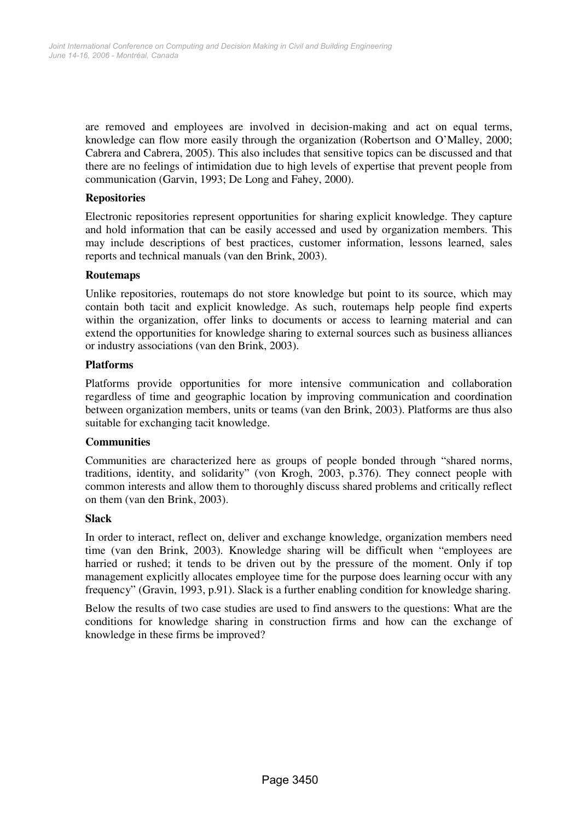are removed and employees are involved in decision-making and act on equal terms, knowledge can flow more easily through the organization (Robertson and O'Malley, 2000; Cabrera and Cabrera, 2005). This also includes that sensitive topics can be discussed and that there are no feelings of intimidation due to high levels of expertise that prevent people from communication (Garvin, 1993; De Long and Fahey, 2000).

## **Repositories**

Electronic repositories represent opportunities for sharing explicit knowledge. They capture and hold information that can be easily accessed and used by organization members. This may include descriptions of best practices, customer information, lessons learned, sales reports and technical manuals (van den Brink, 2003).

## **Routemaps**

Unlike repositories, routemaps do not store knowledge but point to its source, which may contain both tacit and explicit knowledge. As such, routemaps help people find experts within the organization, offer links to documents or access to learning material and can extend the opportunities for knowledge sharing to external sources such as business alliances or industry associations (van den Brink, 2003).

#### **Platforms**

Platforms provide opportunities for more intensive communication and collaboration regardless of time and geographic location by improving communication and coordination between organization members, units or teams (van den Brink, 2003). Platforms are thus also suitable for exchanging tacit knowledge.

## **Communities**

Communities are characterized here as groups of people bonded through "shared norms, traditions, identity, and solidarity" (von Krogh, 2003, p.376). They connect people with common interests and allow them to thoroughly discuss shared problems and critically reflect on them (van den Brink, 2003).

#### **Slack**

In order to interact, reflect on, deliver and exchange knowledge, organization members need time (van den Brink, 2003). Knowledge sharing will be difficult when "employees are harried or rushed; it tends to be driven out by the pressure of the moment. Only if top management explicitly allocates employee time for the purpose does learning occur with any frequency" (Gravin, 1993, p.91). Slack is a further enabling condition for knowledge sharing.

Below the results of two case studies are used to find answers to the questions: What are the conditions for knowledge sharing in construction firms and how can the exchange of knowledge in these firms be improved?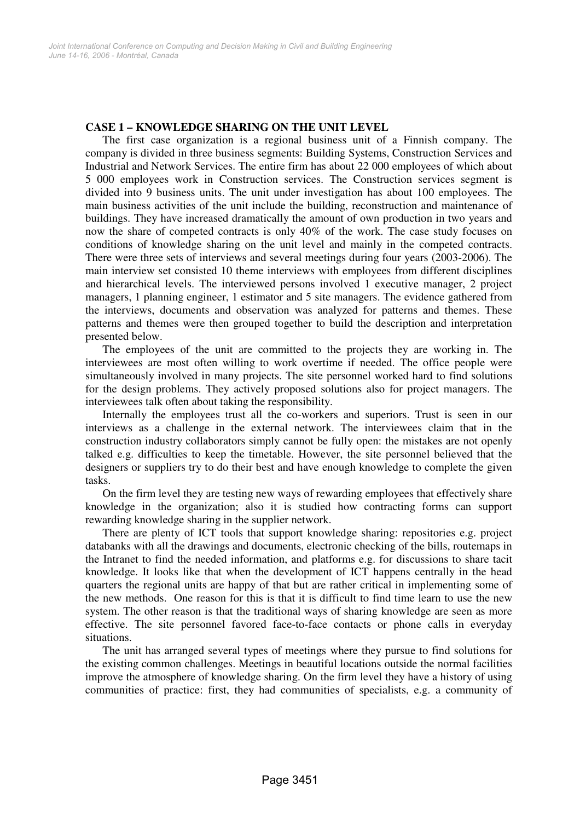## **CASE 1 – KNOWLEDGE SHARING ON THE UNIT LEVEL**

The first case organization is a regional business unit of a Finnish company. The company is divided in three business segments: Building Systems, Construction Services and Industrial and Network Services. The entire firm has about 22 000 employees of which about 5 000 employees work in Construction services. The Construction services segment is divided into 9 business units. The unit under investigation has about 100 employees. The main business activities of the unit include the building, reconstruction and maintenance of buildings. They have increased dramatically the amount of own production in two years and now the share of competed contracts is only 40% of the work. The case study focuses on conditions of knowledge sharing on the unit level and mainly in the competed contracts. There were three sets of interviews and several meetings during four years (2003-2006). The main interview set consisted 10 theme interviews with employees from different disciplines and hierarchical levels. The interviewed persons involved 1 executive manager, 2 project managers, 1 planning engineer, 1 estimator and 5 site managers. The evidence gathered from the interviews, documents and observation was analyzed for patterns and themes. These patterns and themes were then grouped together to build the description and interpretation presented below.

The employees of the unit are committed to the projects they are working in. The interviewees are most often willing to work overtime if needed. The office people were simultaneously involved in many projects. The site personnel worked hard to find solutions for the design problems. They actively proposed solutions also for project managers. The interviewees talk often about taking the responsibility.

Internally the employees trust all the co-workers and superiors. Trust is seen in our interviews as a challenge in the external network. The interviewees claim that in the construction industry collaborators simply cannot be fully open: the mistakes are not openly talked e.g. difficulties to keep the timetable. However, the site personnel believed that the designers or suppliers try to do their best and have enough knowledge to complete the given tasks.

On the firm level they are testing new ways of rewarding employees that effectively share knowledge in the organization; also it is studied how contracting forms can support rewarding knowledge sharing in the supplier network.

There are plenty of ICT tools that support knowledge sharing: repositories e.g. project databanks with all the drawings and documents, electronic checking of the bills, routemaps in the Intranet to find the needed information, and platforms e.g. for discussions to share tacit knowledge. It looks like that when the development of ICT happens centrally in the head quarters the regional units are happy of that but are rather critical in implementing some of the new methods. One reason for this is that it is difficult to find time learn to use the new system. The other reason is that the traditional ways of sharing knowledge are seen as more effective. The site personnel favored face-to-face contacts or phone calls in everyday situations.

The unit has arranged several types of meetings where they pursue to find solutions for the existing common challenges. Meetings in beautiful locations outside the normal facilities improve the atmosphere of knowledge sharing. On the firm level they have a history of using communities of practice: first, they had communities of specialists, e.g. a community of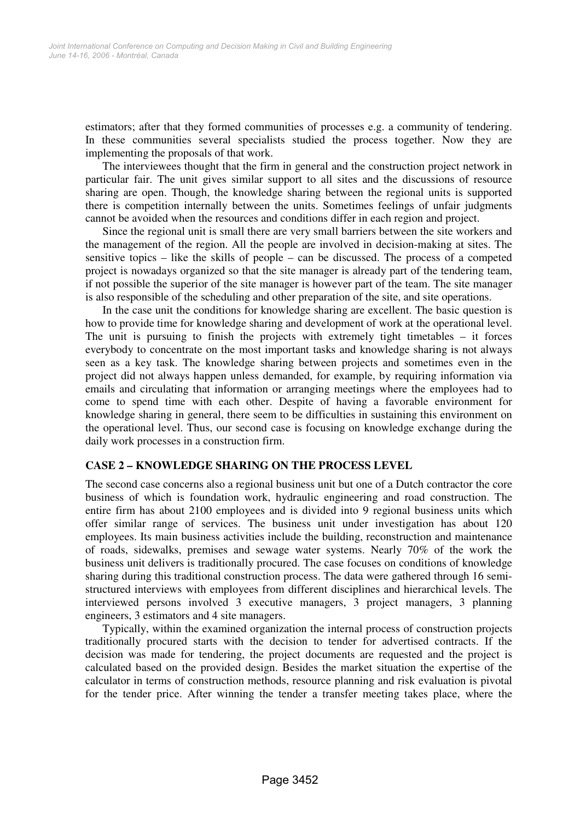estimators; after that they formed communities of processes e.g. a community of tendering. In these communities several specialists studied the process together. Now they are implementing the proposals of that work.

The interviewees thought that the firm in general and the construction project network in particular fair. The unit gives similar support to all sites and the discussions of resource sharing are open. Though, the knowledge sharing between the regional units is supported there is competition internally between the units. Sometimes feelings of unfair judgments cannot be avoided when the resources and conditions differ in each region and project.

Since the regional unit is small there are very small barriers between the site workers and the management of the region. All the people are involved in decision-making at sites. The sensitive topics – like the skills of people – can be discussed. The process of a competed project is nowadays organized so that the site manager is already part of the tendering team, if not possible the superior of the site manager is however part of the team. The site manager is also responsible of the scheduling and other preparation of the site, and site operations.

In the case unit the conditions for knowledge sharing are excellent. The basic question is how to provide time for knowledge sharing and development of work at the operational level. The unit is pursuing to finish the projects with extremely tight timetables – it forces everybody to concentrate on the most important tasks and knowledge sharing is not always seen as a key task. The knowledge sharing between projects and sometimes even in the project did not always happen unless demanded, for example, by requiring information via emails and circulating that information or arranging meetings where the employees had to come to spend time with each other. Despite of having a favorable environment for knowledge sharing in general, there seem to be difficulties in sustaining this environment on the operational level. Thus, our second case is focusing on knowledge exchange during the daily work processes in a construction firm.

## **CASE 2 – KNOWLEDGE SHARING ON THE PROCESS LEVEL**

The second case concerns also a regional business unit but one of a Dutch contractor the core business of which is foundation work, hydraulic engineering and road construction. The entire firm has about 2100 employees and is divided into 9 regional business units which offer similar range of services. The business unit under investigation has about 120 employees. Its main business activities include the building, reconstruction and maintenance of roads, sidewalks, premises and sewage water systems. Nearly 70% of the work the business unit delivers is traditionally procured. The case focuses on conditions of knowledge sharing during this traditional construction process. The data were gathered through 16 semistructured interviews with employees from different disciplines and hierarchical levels. The interviewed persons involved 3 executive managers, 3 project managers, 3 planning engineers, 3 estimators and 4 site managers.

Typically, within the examined organization the internal process of construction projects traditionally procured starts with the decision to tender for advertised contracts. If the decision was made for tendering, the project documents are requested and the project is calculated based on the provided design. Besides the market situation the expertise of the calculator in terms of construction methods, resource planning and risk evaluation is pivotal for the tender price. After winning the tender a transfer meeting takes place, where the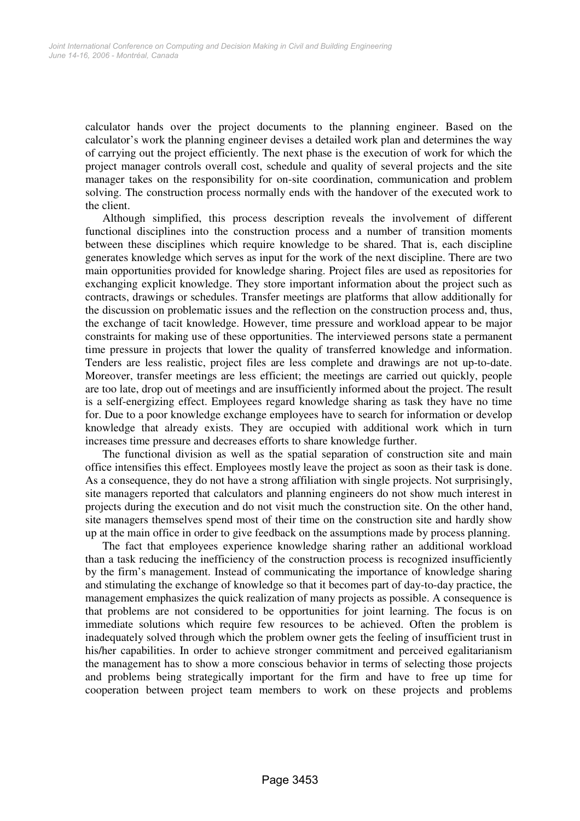calculator hands over the project documents to the planning engineer. Based on the calculator's work the planning engineer devises a detailed work plan and determines the way of carrying out the project efficiently. The next phase is the execution of work for which the project manager controls overall cost, schedule and quality of several projects and the site manager takes on the responsibility for on-site coordination, communication and problem solving. The construction process normally ends with the handover of the executed work to the client.

Although simplified, this process description reveals the involvement of different functional disciplines into the construction process and a number of transition moments between these disciplines which require knowledge to be shared. That is, each discipline generates knowledge which serves as input for the work of the next discipline. There are two main opportunities provided for knowledge sharing. Project files are used as repositories for exchanging explicit knowledge. They store important information about the project such as contracts, drawings or schedules. Transfer meetings are platforms that allow additionally for the discussion on problematic issues and the reflection on the construction process and, thus, the exchange of tacit knowledge. However, time pressure and workload appear to be major constraints for making use of these opportunities. The interviewed persons state a permanent time pressure in projects that lower the quality of transferred knowledge and information. Tenders are less realistic, project files are less complete and drawings are not up-to-date. Moreover, transfer meetings are less efficient; the meetings are carried out quickly, people are too late, drop out of meetings and are insufficiently informed about the project. The result is a self-energizing effect. Employees regard knowledge sharing as task they have no time for. Due to a poor knowledge exchange employees have to search for information or develop knowledge that already exists. They are occupied with additional work which in turn increases time pressure and decreases efforts to share knowledge further.

The functional division as well as the spatial separation of construction site and main office intensifies this effect. Employees mostly leave the project as soon as their task is done. As a consequence, they do not have a strong affiliation with single projects. Not surprisingly, site managers reported that calculators and planning engineers do not show much interest in projects during the execution and do not visit much the construction site. On the other hand, site managers themselves spend most of their time on the construction site and hardly show up at the main office in order to give feedback on the assumptions made by process planning.

The fact that employees experience knowledge sharing rather an additional workload than a task reducing the inefficiency of the construction process is recognized insufficiently by the firm's management. Instead of communicating the importance of knowledge sharing and stimulating the exchange of knowledge so that it becomes part of day-to-day practice, the management emphasizes the quick realization of many projects as possible. A consequence is that problems are not considered to be opportunities for joint learning. The focus is on immediate solutions which require few resources to be achieved. Often the problem is inadequately solved through which the problem owner gets the feeling of insufficient trust in his/her capabilities. In order to achieve stronger commitment and perceived egalitarianism the management has to show a more conscious behavior in terms of selecting those projects and problems being strategically important for the firm and have to free up time for cooperation between project team members to work on these projects and problems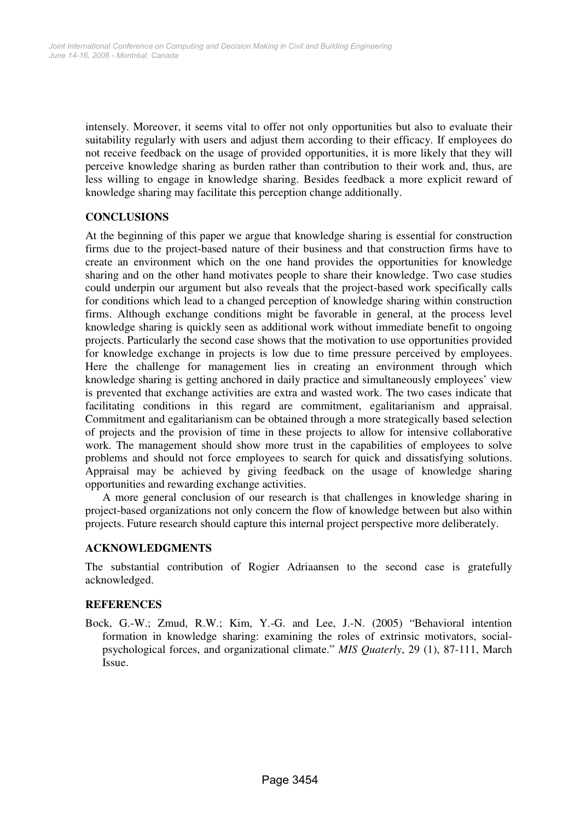intensely. Moreover, it seems vital to offer not only opportunities but also to evaluate their suitability regularly with users and adjust them according to their efficacy. If employees do not receive feedback on the usage of provided opportunities, it is more likely that they will perceive knowledge sharing as burden rather than contribution to their work and, thus, are less willing to engage in knowledge sharing. Besides feedback a more explicit reward of knowledge sharing may facilitate this perception change additionally.

## **CONCLUSIONS**

At the beginning of this paper we argue that knowledge sharing is essential for construction firms due to the project-based nature of their business and that construction firms have to create an environment which on the one hand provides the opportunities for knowledge sharing and on the other hand motivates people to share their knowledge. Two case studies could underpin our argument but also reveals that the project-based work specifically calls for conditions which lead to a changed perception of knowledge sharing within construction firms. Although exchange conditions might be favorable in general, at the process level knowledge sharing is quickly seen as additional work without immediate benefit to ongoing projects. Particularly the second case shows that the motivation to use opportunities provided for knowledge exchange in projects is low due to time pressure perceived by employees. Here the challenge for management lies in creating an environment through which knowledge sharing is getting anchored in daily practice and simultaneously employees' view is prevented that exchange activities are extra and wasted work. The two cases indicate that facilitating conditions in this regard are commitment, egalitarianism and appraisal. Commitment and egalitarianism can be obtained through a more strategically based selection of projects and the provision of time in these projects to allow for intensive collaborative work. The management should show more trust in the capabilities of employees to solve problems and should not force employees to search for quick and dissatisfying solutions. Appraisal may be achieved by giving feedback on the usage of knowledge sharing opportunities and rewarding exchange activities.

A more general conclusion of our research is that challenges in knowledge sharing in project-based organizations not only concern the flow of knowledge between but also within projects. Future research should capture this internal project perspective more deliberately.

## **ACKNOWLEDGMENTS**

The substantial contribution of Rogier Adriaansen to the second case is gratefully acknowledged.

## **REFERENCES**

Bock, G.-W.; Zmud, R.W.; Kim, Y.-G. and Lee, J.-N. (2005) "Behavioral intention formation in knowledge sharing: examining the roles of extrinsic motivators, socialpsychological forces, and organizational climate." *MIS Quaterly*, 29 (1), 87-111, March Issue.